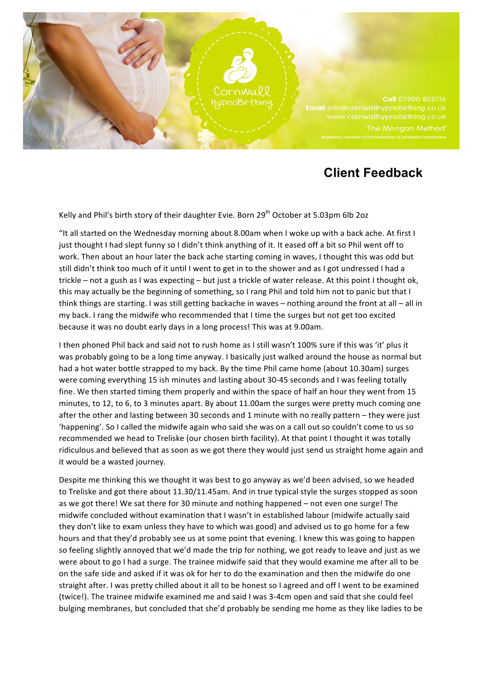

## **Client Feedback**

Kelly and Phil's birth story of their daughter Evie. Born  $29^{th}$  October at 5.03pm 6lb 2oz

"It all started on the Wednesday morning about 8.00am when I woke up with a back ache. At first I just thought I had slept funny so I didn't think anything of it. It eased off a bit so Phil went off to work. Then about an hour later the back ache starting coming in waves, I thought this was odd but still didn't think too much of it until I went to get in to the shower and as I got undressed I had a trickle – not a gush as I was expecting – but just a trickle of water release. At this point I thought ok, this may actually be the beginning of something, so I rang Phil and told him not to panic but that I think things are starting. I was still getting backache in waves – nothing around the front at all – all in my back. I rang the midwife who recommended that I time the surges but not get too excited because it was no doubt early days in a long process! This was at 9.00am.

I then phoned Phil back and said not to rush home as I still wasn't 100% sure if this was 'it' plus it was probably going to be a long time anyway. I basically just walked around the house as normal but had a hot water bottle strapped to my back. By the time Phil came home (about 10.30am) surges were coming everything 15 ish minutes and lasting about 30-45 seconds and I was feeling totally fine. We then started timing them properly and within the space of half an hour they went from 15 minutes, to 12, to 6, to 3 minutes apart. By about 11.00am the surges were pretty much coming one after the other and lasting between 30 seconds and 1 minute with no really pattern – they were just 'happening'. So I called the midwife again who said she was on a call out so couldn't come to us so recommended we head to Treliske (our chosen birth facility). At that point I thought it was totally ridiculous and believed that as soon as we got there they would just send us straight home again and it would be a wasted journey.

Despite me thinking this we thought it was best to go anyway as we'd been advised, so we headed to Treliske and got there about 11.30/11.45am. And in true typical style the surges stopped as soon as we got there! We sat there for 30 minute and nothing happened – not even one surge! The midwife concluded without examination that I wasn't in established labour (midwife actually said they don't like to exam unless they have to which was good) and advised us to go home for a few hours and that they'd probably see us at some point that evening. I knew this was going to happen so feeling slightly annoyed that we'd made the trip for nothing, we got ready to leave and just as we were about to go I had a surge. The trainee midwife said that they would examine me after all to be on the safe side and asked if it was ok for her to do the examination and then the midwife do one straight after. I was pretty chilled about it all to be honest so I agreed and off I went to be examined (twice!). The trainee midwife examined me and said I was 3-4cm open and said that she could feel bulging membranes, but concluded that she'd probably be sending me home as they like ladies to be